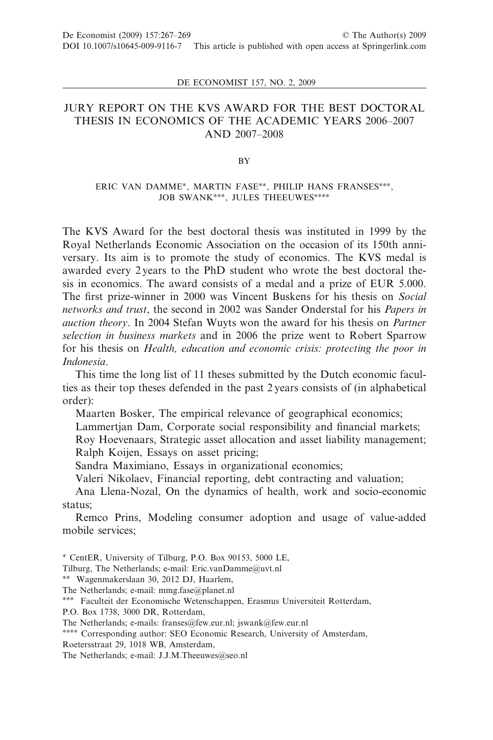## DE ECONOMIST 157, NO. 2, 2009

## JURY REPORT ON THE KVS AWARD FOR THE BEST DOCTORAL THESIS IN ECONOMICS OF THE ACADEMIC YEARS 2006–2007 AND 2007–2008

BY

## ERIC VAN DAMME∗, MARTIN FASE∗∗, PHILIP HANS FRANSES∗∗∗, JOB SWANK∗∗∗, JULES THEEUWES∗∗∗∗

The KVS Award for the best doctoral thesis was instituted in 1999 by the Royal Netherlands Economic Association on the occasion of its 150th anniversary. Its aim is to promote the study of economics. The KVS medal is awarded every 2 years to the PhD student who wrote the best doctoral thesis in economics. The award consists of a medal and a prize of EUR 5.000. The first prize-winner in 2000 was Vincent Buskens for his thesis on *Social networks and trust*, the second in 2002 was Sander Onderstal for his *Papers in auction theory*. In 2004 Stefan Wuyts won the award for his thesis on *Partner selection in business markets* and in 2006 the prize went to Robert Sparrow for his thesis on *Health, education and economic crisis: protecting the poor in Indonesia*.

This time the long list of 11 theses submitted by the Dutch economic faculties as their top theses defended in the past 2 years consists of (in alphabetical order):

Maarten Bosker, The empirical relevance of geographical economics;

Lammertjan Dam, Corporate social responsibility and financial markets;

Roy Hoevenaars, Strategic asset allocation and asset liability management; Ralph Koijen, Essays on asset pricing;

Sandra Maximiano, Essays in organizational economics;

Valeri Nikolaev, Financial reporting, debt contracting and valuation;

Ana Llena-Nozal, On the dynamics of health, work and socio-economic status;

Remco Prins, Modeling consumer adoption and usage of value-added mobile services;

∗ CentER, University of Tilburg, P.O. Box 90153, 5000 LE,

Tilburg, The Netherlands; e-mail: Eric.vanDamme@uvt.nl

The Netherlands; e-mail: mmg.fase@planet.nl

∗∗∗ Faculteit der Economische Wetenschappen, Erasmus Universiteit Rotterdam,

P.O. Box 1738, 3000 DR, Rotterdam,

∗∗∗∗ Corresponding author: SEO Economic Research, University of Amsterdam,

Roetersstraat 29, 1018 WB, Amsterdam,

The Netherlands; e-mail: J.J.M.Theeuwes@seo.nl

<sup>∗∗</sup> Wagenmakerslaan 30, 2012 DJ, Haarlem,

The Netherlands; e-mails: franses@few.eur.nl; jswank@few.eur.nl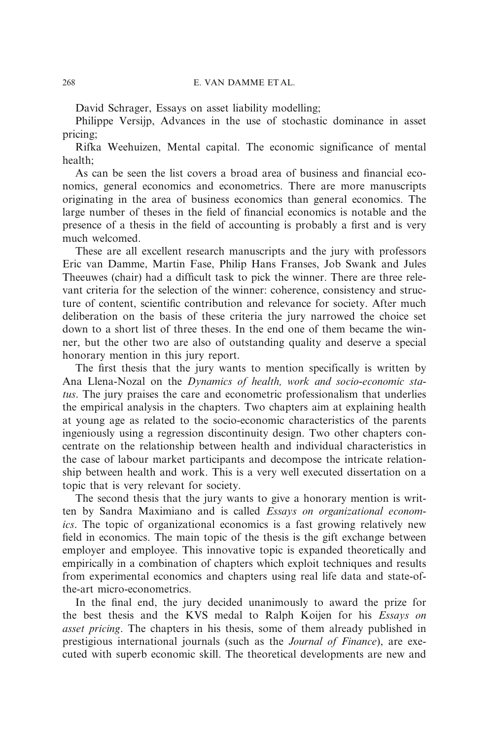## 268 E. VAN DAMME ET AL.

David Schrager, Essays on asset liability modelling;

Philippe Versijp, Advances in the use of stochastic dominance in asset pricing;

Rifka Weehuizen, Mental capital. The economic significance of mental health;

As can be seen the list covers a broad area of business and financial economics, general economics and econometrics. There are more manuscripts originating in the area of business economics than general economics. The large number of theses in the field of financial economics is notable and the presence of a thesis in the field of accounting is probably a first and is very much welcomed.

These are all excellent research manuscripts and the jury with professors Eric van Damme, Martin Fase, Philip Hans Franses, Job Swank and Jules Theeuwes (chair) had a difficult task to pick the winner. There are three relevant criteria for the selection of the winner: coherence, consistency and structure of content, scientific contribution and relevance for society. After much deliberation on the basis of these criteria the jury narrowed the choice set down to a short list of three theses. In the end one of them became the winner, but the other two are also of outstanding quality and deserve a special honorary mention in this jury report.

The first thesis that the jury wants to mention specifically is written by Ana Llena-Nozal on the *Dynamics of health, work and socio-economic status*. The jury praises the care and econometric professionalism that underlies the empirical analysis in the chapters. Two chapters aim at explaining health at young age as related to the socio-economic characteristics of the parents ingeniously using a regression discontinuity design. Two other chapters concentrate on the relationship between health and individual characteristics in the case of labour market participants and decompose the intricate relationship between health and work. This is a very well executed dissertation on a topic that is very relevant for society.

The second thesis that the jury wants to give a honorary mention is written by Sandra Maximiano and is called *Essays on organizational economics*. The topic of organizational economics is a fast growing relatively new field in economics. The main topic of the thesis is the gift exchange between employer and employee. This innovative topic is expanded theoretically and empirically in a combination of chapters which exploit techniques and results from experimental economics and chapters using real life data and state-ofthe-art micro-econometrics.

In the final end, the jury decided unanimously to award the prize for the best thesis and the KVS medal to Ralph Koijen for his *Essays on asset pricing*. The chapters in his thesis, some of them already published in prestigious international journals (such as the *Journal of Finance*), are executed with superb economic skill. The theoretical developments are new and